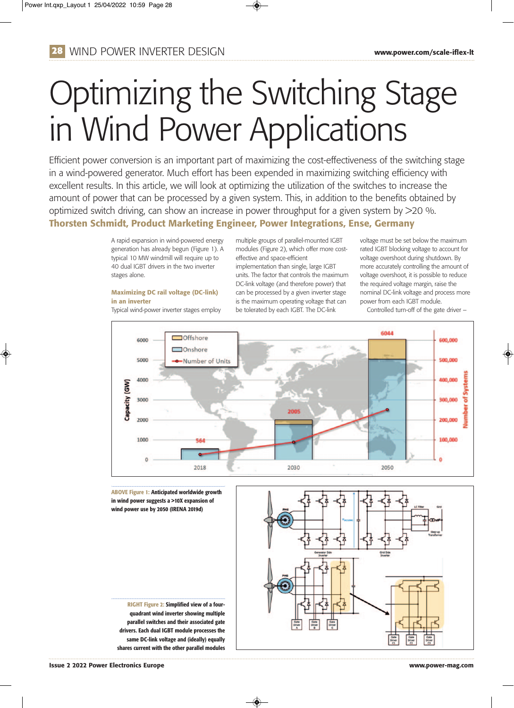## **28** WIND POWER INVERTER DESIGN **www.power.com/scale-iflex-lt**

# Optimizing the Switching Stage in Wind Power Applications

Efficient power conversion is an important part of maximizing the cost-effectiveness of the switching stage in a wind-powered generator. Much effort has been expended in maximizing switching efficiency with excellent results. In this article, we will look at optimizing the utilization of the switches to increase the amount of power that can be processed by a given system. This, in addition to the benefits obtained by optimized switch driving, can show an increase in power throughput for a given system by >20 %. **Thorsten Schmidt, Product Marketing Engineer, Power Integrations, Ense, Germany**

> A rapid expansion in wind-powered energy generation has already begun (Figure 1). A typical 10 MW windmill will require up to 40 dual IGBT drivers in the two inverter stages alone.

#### **Maximizing DC rail voltage (DC-link) in an inverter**

Typical wind-power inverter stages employ

multiple groups of parallel-mounted IGBT modules (Figure 2), which offer more costeffective and space-efficient implementation than single, large IGBT units. The factor that controls the maximum DC-link voltage (and therefore power) that can be processed by a given inverter stage is the maximum operating voltage that can be tolerated by each IGBT. The DC-link

voltage must be set below the maximum rated IGBT blocking voltage to account for voltage overshoot during shutdown. By more accurately controlling the amount of voltage overshoot, it is possible to reduce the required voltage margin, raise the nominal DC-link voltage and process more power from each IGBT module.

Controlled turn-off of the gate driver –



**ABOVE Figure 1: Anticipated worldwide growth in wind power suggests a >10X expansion of wind power use by 2050 (IRENA 2019d)**

**RIGHT Figure 2: Simplified view of a fourquadrant wind inverter showing multiple parallel switches and their associated gate drivers. Each dual IGBT module processes the same DC-link voltage and (ideally) equally shares current with the other parallel modules**



**Issue 2 2022 Power Electronics Europe www.power-mag.com**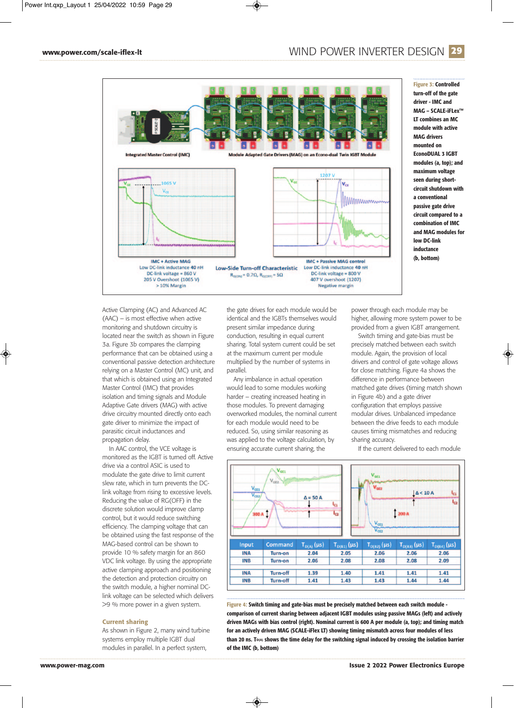#### **WWW.power.com/scale-iflex-lt**  $\blacksquare$  **WIND POWER INVERTER DESIGN 29**



**Figure 3: Controlled turn-off of the gate driver - IMC and MAG – SCALE-iFLex™ LT combines an MC module with active MAG drivers mounted on EconoDUAL 3 IGBT modules (a, top); and maximum voltage seen during shortcircuit shutdown with a conventional passive gate drive circuit compared to a combination of IMC and MAG modules for low DC-link inductance (b, bottom)**

Active Clamping (AC) and Advanced AC (AAC) – is most effective when active monitoring and shutdown circuitry is located near the switch as shown in Figure 3a. Figure 3b compares the clamping performance that can be obtained using a conventional passive detection architecture relying on a Master Control (MC) unit, and that which is obtained using an Integrated Master Control (IMC) that provides isolation and timing signals and Module Adaptive Gate drivers (MAG) with active drive circuitry mounted directly onto each gate driver to minimize the impact of parasitic circuit inductances and propagation delay.

In AAC control, the VCE voltage is monitored as the IGBT is turned off. Active drive via a control ASIC is used to modulate the gate drive to limit current slew rate, which in turn prevents the DClink voltage from rising to excessive levels. Reducing the value of RG(OFF) in the discrete solution would improve clamp control, but it would reduce switching efficiency. The clamping voltage that can be obtained using the fast response of the MAG-based control can be shown to provide 10 % safety margin for an 860 VDC link voltage. By using the appropriate active clamping approach and positioning the detection and protection circuitry on the switch module, a higher nominal DClink voltage can be selected which delivers >9 % more power in a given system.

#### **Current sharing**

As shown in Figure 2, many wind turbine systems employ multiple IGBT dual modules in parallel. In a perfect system,

the gate drives for each module would be identical and the IGBTs themselves would present similar impedance during conduction, resulting in equal current sharing. Total system current could be set at the maximum current per module multiplied by the number of systems in parallel.

Any imbalance in actual operation would lead to some modules working harder – creating increased heating in those modules. To prevent damaging overworked modules, the nominal current for each module would need to be reduced. So, using similar reasoning as was applied to the voltage calculation, by ensuring accurate current sharing, the

power through each module may be higher, allowing more system power to be provided from a given IGBT arrangement.

Switch timing and gate-bias must be precisely matched between each switch module. Again, the provision of local drivers and control of gate voltage allows for close matching. Figure 4a shows the difference in performance between matched gate drives (timing match shown in Figure 4b) and a gate driver configuration that employs passive modular drives. Unbalanced impedance between the drive feeds to each module causes timing mismatches and reducing sharing accuracy.

If the current delivered to each module



**Figure 4: Switch timing and gate-bias must be precisely matched between each switch module comparison of current sharing between adjacent IGBT modules using passive MAGs (left) and actively driven MAGs with bias control (right). Nominal current is 600 A per module (a, top); and timing match for an actively driven MAG (SCALE-iFlex LT) showing timing mismatch across four modules of less than 20 ns. TD(A) shows the time delay for the switching signal induced by crossing the isolation barrier of the IMC (b, bottom)**

 $\bigcirc$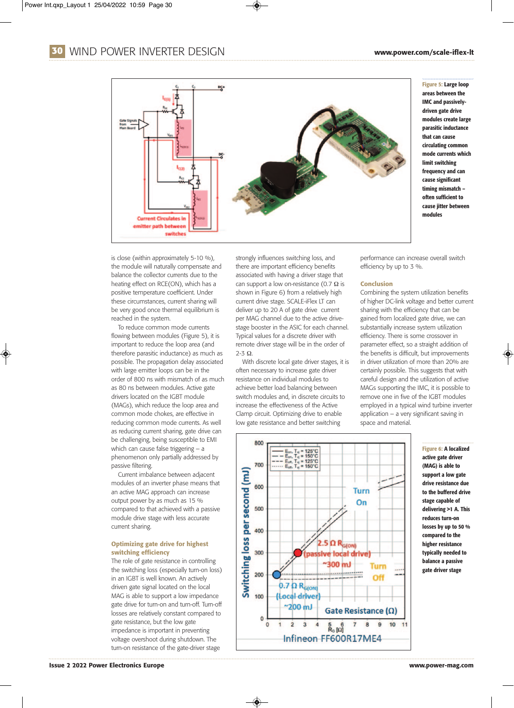## **30** WIND POWER INVERTER DESIGN **www.power.com/scale-iflex-lt**



is close (within approximately 5-10 %), the module will naturally compensate and balance the collector currents due to the heating effect on RCE(ON), which has a positive temperature coefficient. Under these circumstances, current sharing will be very good once thermal equilibrium is reached in the system.

To reduce common mode currents flowing between modules (Figure 5), it is important to reduce the loop area (and therefore parasitic inductance) as much as possible. The propagation delay associated with large emitter loops can be in the order of 800 ns with mismatch of as much as 80 ns between modules. Active gate drivers located on the IGBT module (MAGs), which reduce the loop area and common mode chokes, are effective in reducing common mode currents. As well as reducing current sharing, gate drive can be challenging, being susceptible to EMI which can cause false triggering – a phenomenon only partially addressed by passive filtering.

Current imbalance between adjacent modules of an inverter phase means that an active MAG approach can increase output power by as much as 15 % compared to that achieved with a passive module drive stage with less accurate current sharing.

#### **Optimizing gate drive for highest switching efficiency**

The role of gate resistance in controlling the switching loss (especially turn-on loss) in an IGBT is well known. An actively driven gate signal located on the local MAG is able to support a low impedance gate drive for turn-on and turn-off. Turn-off losses are relatively constant compared to gate resistance, but the low gate impedance is important in preventing voltage overshoot during shutdown. The turn-on resistance of the gate-driver stage

strongly influences switching loss, and there are important efficiency benefits associated with having a driver stage that can support a low on-resistance (0.7  $\Omega$  is shown in Figure 6) from a relatively high current drive stage. SCALE-iFlex LT can deliver up to 20 A of gate drive current per MAG channel due to the active drivestage booster in the ASIC for each channel. Typical values for a discrete driver with remote driver stage will be in the order of 2-3 Ω.

With discrete local gate driver stages, it is often necessary to increase gate driver resistance on individual modules to achieve better load balancing between switch modules and, in discrete circuits to increase the effectiveness of the Active Clamp circuit. Optimizing drive to enable low gate resistance and better switching



**Figure 5: Large loop areas between the IMC and passivelydriven gate drive modules create large parasitic inductance that can cause circulating common mode currents which limit switching frequency and can cause significant timing mismatch – often sufficient to cause jitter between modules**

performance can increase overall switch efficiency by up to 3 %.

#### **Conclusion**

Combining the system utilization benefits of higher DC-link voltage and better current sharing with the efficiency that can be gained from localized gate drive, we can substantially increase system utilization efficiency. There is some crossover in parameter effect, so a straight addition of the benefits is difficult, but improvements in driver utilization of more than 20% are certainly possible. This suggests that with careful design and the utilization of active MAGs supporting the IMC, it is possible to remove one in five of the IGBT modules employed in a typical wind turbine inverter application – a very significant saving in space and material.

> **Figure 6: A localized active gate driver (MAG) is able to support a low gate drive resistance due to the buffered drive stage capable of delivering >1 A. This reduces turn-on losses by up to 50 % compared to the higher resistance typically needed to balance a passive gate driver stage**

◈